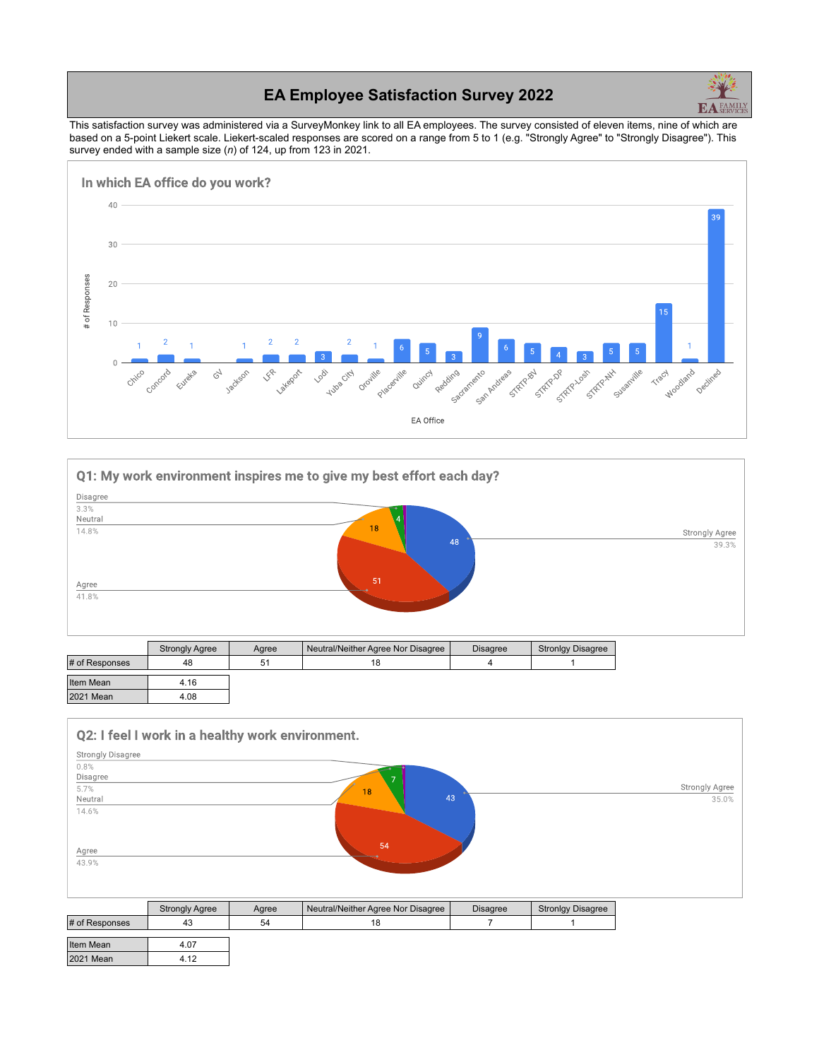## **EA Employee Satisfaction Survey 2022**



This satisfaction survey was administered via a SurveyMonkey link to all EA employees. The survey consisted of eleven items, nine of which are based on a 5-point Liekert scale. Liekert-scaled responses are scored on a range from 5 to 1 (e.g. "Strongly Agree" to "Strongly Disagree"). This survey ended with a sample size (*n*) of 124, up from 123 in 2021.





|                | <b>Strongly Agree</b> | Agree | Neutral/Neither Agree Nor Disagree | <b>Disagree</b> | <b>Stronlgy Disagree</b> |
|----------------|-----------------------|-------|------------------------------------|-----------------|--------------------------|
| # of Responses | 48                    | 51    | 18                                 |                 |                          |
| Item Mean      | 4.16                  |       |                                    |                 |                          |
| 2021 Mean      | 4.08                  |       |                                    |                 |                          |

| Q2: I feel I work in a healthy work environment. |                      |
|--------------------------------------------------|----------------------|
| <b>Strongly Disagree</b>                         |                      |
| 0.8%                                             |                      |
| Disagree                                         |                      |
| 5.7%                                             | Strongly Agree<br>18 |
| Neutral                                          | 43<br>35.0%          |
| 14.6%                                            |                      |
|                                                  |                      |
|                                                  |                      |
|                                                  | 54                   |
| Agree                                            |                      |
| 43.9%                                            |                      |
|                                                  |                      |
|                                                  |                      |

|                  | <b>Strongly Agree</b> | Agree | Neutral/Neither Agree Nor Disagree | <b>Disagree</b> | <b>Stronlgy Disagree</b> |
|------------------|-----------------------|-------|------------------------------------|-----------------|--------------------------|
| # of Responses   | 43                    | 54    |                                    |                 |                          |
| Item Mean        | 4.07                  |       |                                    |                 |                          |
| <b>2021 Mean</b> | 4.12                  |       |                                    |                 |                          |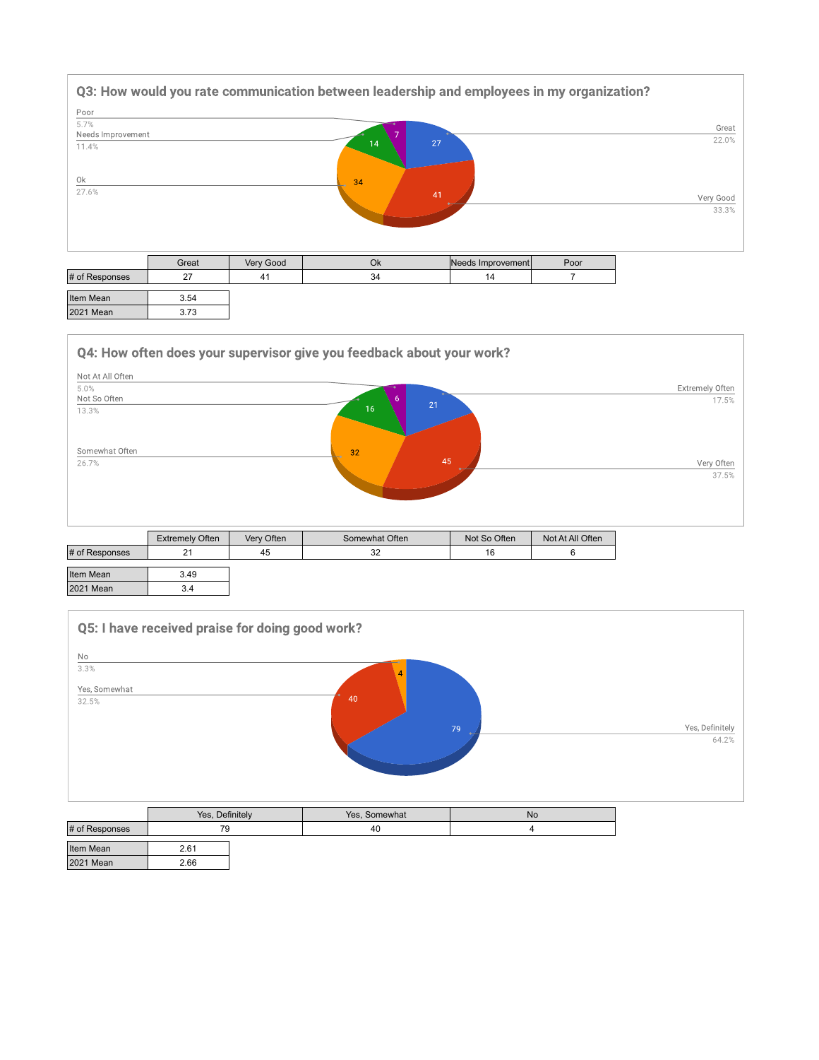

| Item Mean   |  |
|-------------|--|
| $2021$ Moon |  |

 $3.73$ 



| Item Mean        | <u>3.49</u> |
|------------------|-------------|
| <b>2021 Mean</b> |             |



|                  | Yes, Definitely |  | Yes, Somewhat | <b>No</b> |
|------------------|-----------------|--|---------------|-----------|
| # of Responses   | 79              |  | 40            |           |
| Item Mean        | 2.61            |  |               |           |
| <b>2021 Mean</b> | 2.66            |  |               |           |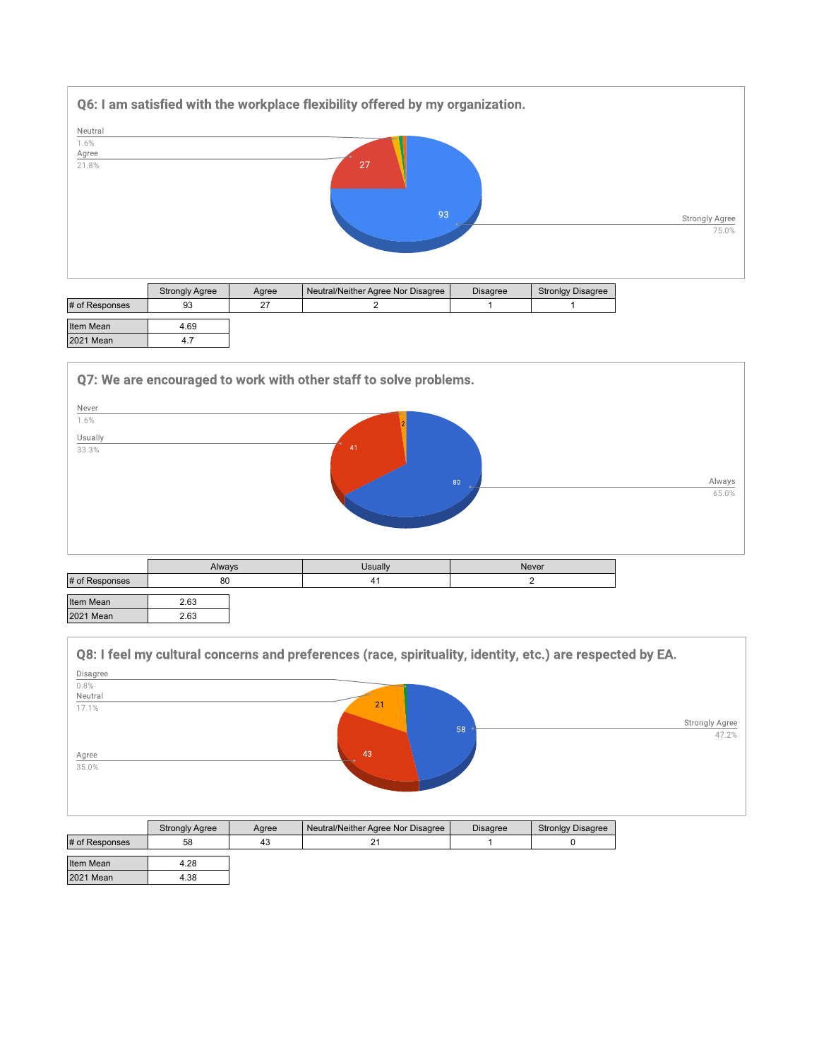

|                  | <b>Strongly Agree</b> | Aaree | Neutral/Neither Agree Nor Disagree | <b>Disagree</b> | <b>Stronlgy Disagree</b> |
|------------------|-----------------------|-------|------------------------------------|-----------------|--------------------------|
| # of Responses   | 93                    | 27    |                                    |                 |                          |
| Item Mean        | 4.69                  |       |                                    |                 |                          |
| <b>2021 Mean</b> | 4.7                   |       |                                    |                 |                          |



| 2.63<br><b>2021 Mean</b> |
|--------------------------|

|          |                       |       | Q8: I feel my cultural concerns and preferences (race, spirituality, identity, etc.) are respected by EA. |                 |                          |                       |
|----------|-----------------------|-------|-----------------------------------------------------------------------------------------------------------|-----------------|--------------------------|-----------------------|
| Disagree |                       |       |                                                                                                           |                 |                          |                       |
| 0.8%     |                       |       |                                                                                                           |                 |                          |                       |
| Neutral  |                       |       | 21                                                                                                        |                 |                          |                       |
| 17.1%    |                       |       |                                                                                                           |                 |                          |                       |
|          |                       |       |                                                                                                           | 58              |                          | <b>Strongly Agree</b> |
|          |                       |       |                                                                                                           |                 |                          | 47.2%                 |
| Agree    |                       |       | 43                                                                                                        |                 |                          |                       |
| 35.0%    |                       |       |                                                                                                           |                 |                          |                       |
|          |                       |       |                                                                                                           |                 |                          |                       |
|          |                       |       |                                                                                                           |                 |                          |                       |
|          |                       |       |                                                                                                           |                 |                          |                       |
|          |                       |       |                                                                                                           |                 |                          |                       |
|          | <b>Strongly Agree</b> | Agree | Neutral/Neither Agree Nor Disagree                                                                        | <b>Disagree</b> | <b>Stronlgy Disagree</b> |                       |

|                  | <b>Strongly Agree</b> | Aaree | Neutral/Neither Agree Nor Disagree | <b>Disagree</b> | <b>Stronlgy Disagree</b> |
|------------------|-----------------------|-------|------------------------------------|-----------------|--------------------------|
| # of Responses   | 58                    | 43    |                                    |                 |                          |
| Item Mean        | 4.28                  |       |                                    |                 |                          |
| <b>2021 Mean</b> | 4.38                  |       |                                    |                 |                          |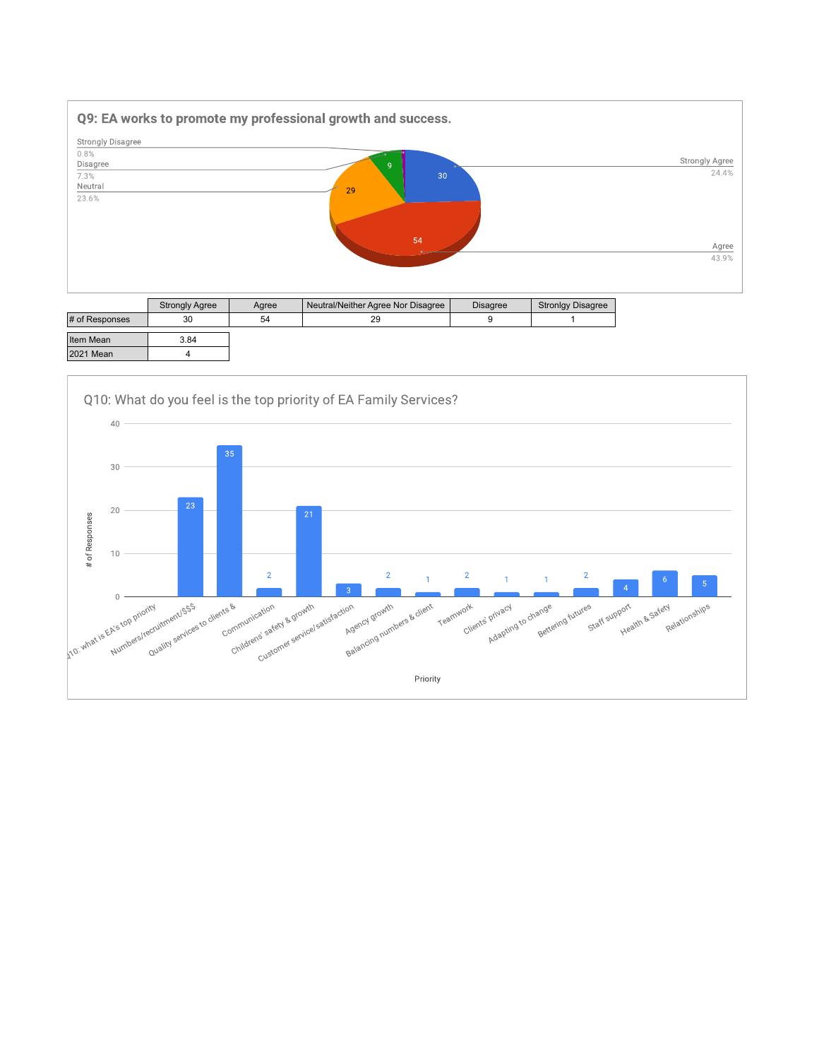

|                | <b>Strongly Agree</b> | Agree | Neutral/Neither Agree Nor Disagree | <b>Disagree</b> | <b>Stronlgy Disagree</b> |
|----------------|-----------------------|-------|------------------------------------|-----------------|--------------------------|
| # of Responses | 30                    | 54    | 29                                 |                 |                          |
| Item Mean      | 3.84                  |       |                                    |                 |                          |
| 2021 Mean      |                       |       |                                    |                 |                          |